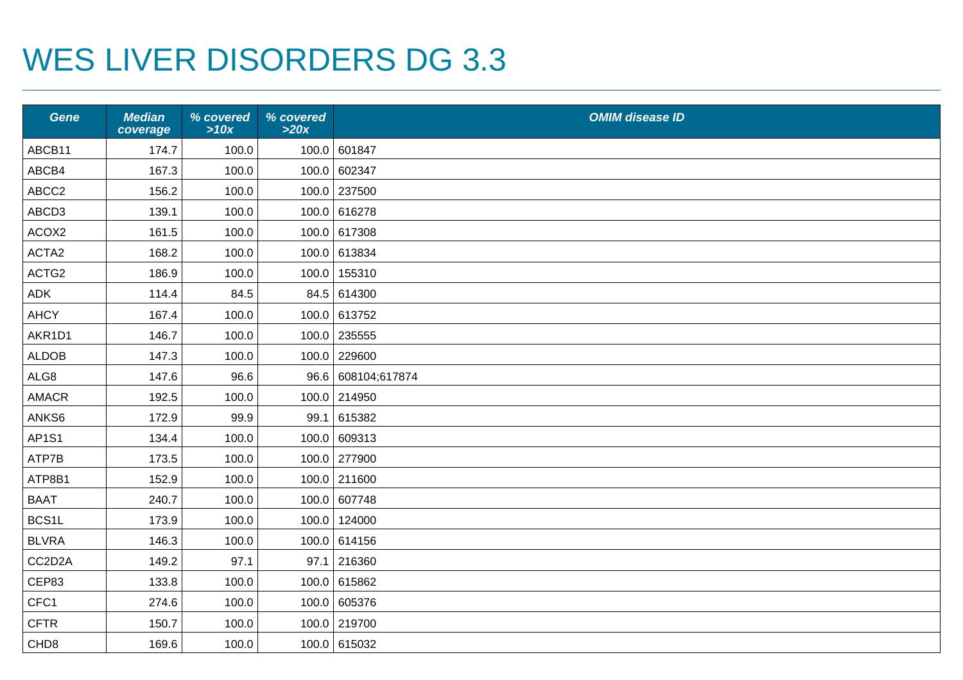## WES LIVER DISORDERS DG 3.3

| <b>Gene</b>      | <b>Median</b><br>coverage | % covered<br>>10x | % covered<br>>20x | <b>OMIM disease ID</b> |
|------------------|---------------------------|-------------------|-------------------|------------------------|
| ABCB11           | 174.7                     | 100.0             |                   | 100.0 601847           |
| ABCB4            | 167.3                     | 100.0             |                   | 100.0 602347           |
| ABCC2            | 156.2                     | 100.0             |                   | 100.0 237500           |
| ABCD3            | 139.1                     | 100.0             |                   | 100.0 616278           |
| ACOX2            | 161.5                     | 100.0             |                   | 100.0 617308           |
| ACTA2            | 168.2                     | 100.0             |                   | 100.0 613834           |
| ACTG2            | 186.9                     | 100.0             |                   | 100.0 155310           |
| ADK              | 114.4                     | 84.5              |                   | 84.5 614300            |
| <b>AHCY</b>      | 167.4                     | 100.0             |                   | 100.0 613752           |
| AKR1D1           | 146.7                     | 100.0             |                   | 100.0 235555           |
| <b>ALDOB</b>     | 147.3                     | 100.0             |                   | 100.0 229600           |
| ALG8             | 147.6                     | 96.6              |                   | 96.6 608104;617874     |
| <b>AMACR</b>     | 192.5                     | 100.0             |                   | 100.0 214950           |
| ANKS6            | 172.9                     | 99.9              |                   | 99.1 615382            |
| <b>AP1S1</b>     | 134.4                     | 100.0             |                   | 100.0 609313           |
| ATP7B            | 173.5                     | 100.0             |                   | 100.0 277900           |
| ATP8B1           | 152.9                     | 100.0             |                   | 100.0 211600           |
| <b>BAAT</b>      | 240.7                     | 100.0             |                   | 100.0 607748           |
| BCS1L            | 173.9                     | 100.0             |                   | 100.0 124000           |
| <b>BLVRA</b>     | 146.3                     | 100.0             |                   | 100.0 614156           |
| CC2D2A           | 149.2                     | 97.1              | 97.1              | 216360                 |
| CEP83            | 133.8                     | 100.0             |                   | 100.0 615862           |
| CFC1             | 274.6                     | 100.0             |                   | 100.0 605376           |
| <b>CFTR</b>      | 150.7                     | 100.0             |                   | 100.0 219700           |
| CHD <sub>8</sub> | 169.6                     | 100.0             |                   | 100.0 615032           |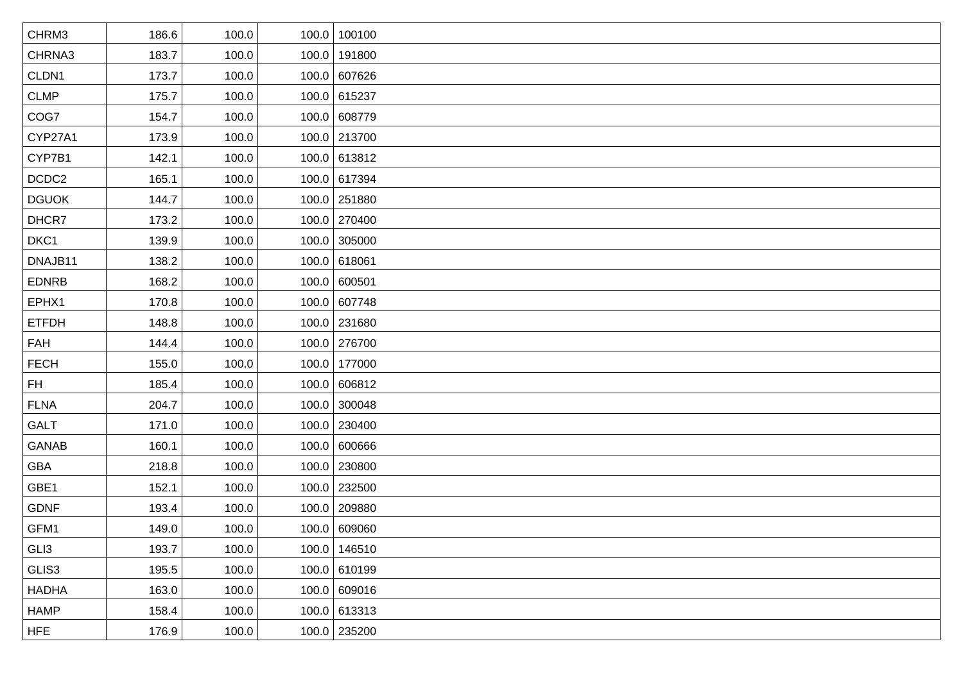| CHRM3        | 186.6 | 100.0 | 100.0 100100   |
|--------------|-------|-------|----------------|
| CHRNA3       | 183.7 | 100.0 | 100.0 191800   |
| CLDN1        | 173.7 | 100.0 | 100.0 607626   |
| <b>CLMP</b>  | 175.7 | 100.0 | 100.0 615237   |
| COG7         | 154.7 | 100.0 | 100.0 608779   |
| CYP27A1      | 173.9 | 100.0 | 100.0 213700   |
| CYP7B1       | 142.1 | 100.0 | 100.0 613812   |
| DCDC2        | 165.1 | 100.0 | 100.0 617394   |
| <b>DGUOK</b> | 144.7 | 100.0 | 100.0 251880   |
| DHCR7        | 173.2 | 100.0 | 100.0 270400   |
| DKC1         | 139.9 | 100.0 | 100.0 305000   |
| DNAJB11      | 138.2 | 100.0 | 100.0 618061   |
| <b>EDNRB</b> | 168.2 | 100.0 | 100.0 600501   |
| EPHX1        | 170.8 | 100.0 | 100.0 607748   |
| <b>ETFDH</b> | 148.8 | 100.0 | 100.0 231680   |
| <b>FAH</b>   | 144.4 | 100.0 | 100.0 276700   |
| <b>FECH</b>  | 155.0 | 100.0 | 100.0 177000   |
| <b>FH</b>    | 185.4 | 100.0 | 100.0 606812   |
| <b>FLNA</b>  | 204.7 | 100.0 | 100.0 300048   |
| <b>GALT</b>  | 171.0 | 100.0 | 100.0 230400   |
| GANAB        | 160.1 | 100.0 | 100.0 600666   |
| <b>GBA</b>   | 218.8 | 100.0 | 100.0 230800   |
| GBE1         | 152.1 | 100.0 | 100.0 232500   |
| <b>GDNF</b>  | 193.4 | 100.0 | 100.0 209880   |
| GFM1         | 149.0 | 100.0 | 100.0 609060   |
| GLI3         | 193.7 | 100.0 | 100.0 146510   |
| GLIS3        | 195.5 | 100.0 | 100.0 610199   |
| <b>HADHA</b> | 163.0 | 100.0 | 100.0   609016 |
| <b>HAMP</b>  | 158.4 | 100.0 | $100.0$ 613313 |
| <b>HFE</b>   | 176.9 | 100.0 | $100.0$ 235200 |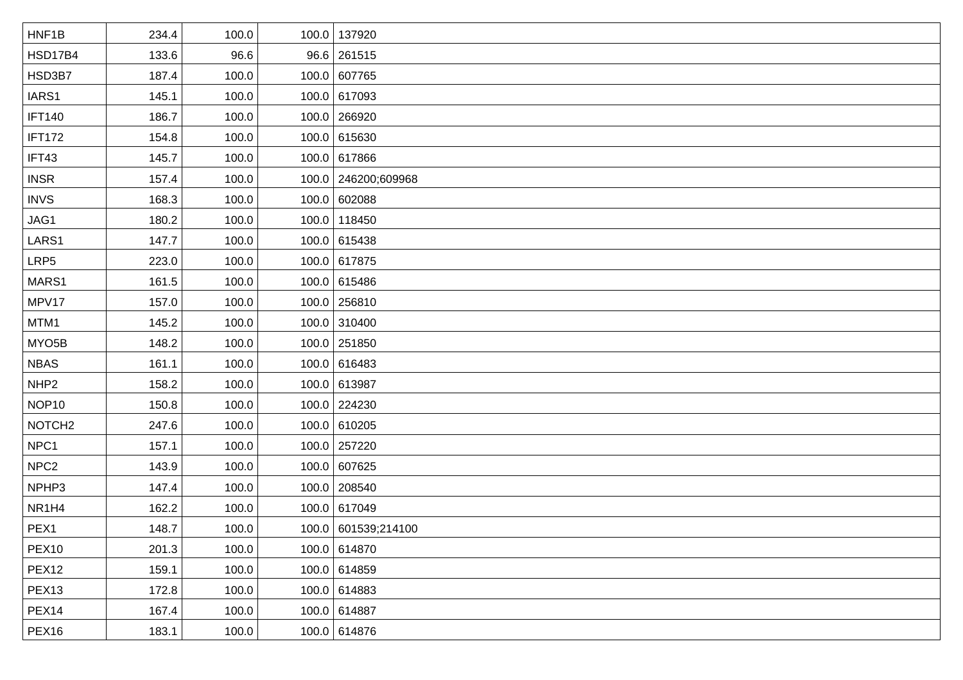| HNF1B              | 234.4 | 100.0 | 100.0 137920        |
|--------------------|-------|-------|---------------------|
| HSD17B4            | 133.6 | 96.6  | 96.6 261515         |
| HSD3B7             | 187.4 | 100.0 | 100.0 607765        |
| IARS1              | 145.1 | 100.0 | 100.0 617093        |
| <b>IFT140</b>      | 186.7 | 100.0 | 100.0 266920        |
| <b>IFT172</b>      | 154.8 | 100.0 | 100.0 615630        |
| IFT43              | 145.7 | 100.0 | 100.0 617866        |
| <b>INSR</b>        | 157.4 | 100.0 | 100.0 246200;609968 |
| <b>INVS</b>        | 168.3 | 100.0 | 100.0 602088        |
| JAG1               | 180.2 | 100.0 | 100.0 118450        |
| LARS1              | 147.7 | 100.0 | 100.0 615438        |
| LRP5               | 223.0 | 100.0 | 100.0 617875        |
| MARS1              | 161.5 | 100.0 | 100.0 615486        |
| MPV17              | 157.0 | 100.0 | 100.0 256810        |
| MTM1               | 145.2 | 100.0 | 100.0 310400        |
| MYO <sub>5</sub> B | 148.2 | 100.0 | 100.0 251850        |
| <b>NBAS</b>        | 161.1 | 100.0 | 100.0 616483        |
| NHP <sub>2</sub>   | 158.2 | 100.0 | 100.0 613987        |
| NOP <sub>10</sub>  | 150.8 | 100.0 | 100.0 224230        |
| NOTCH <sub>2</sub> | 247.6 | 100.0 | 100.0 610205        |
| NPC1               | 157.1 | 100.0 | 100.0 257220        |
| NPC <sub>2</sub>   | 143.9 | 100.0 | 100.0 607625        |
| NPHP3              | 147.4 | 100.0 | 100.0 208540        |
| NR1H4              | 162.2 | 100.0 | 100.0 617049        |
| PEX1               | 148.7 | 100.0 | 100.0 601539;214100 |
| PEX <sub>10</sub>  | 201.3 | 100.0 | 100.0 614870        |
| PEX <sub>12</sub>  | 159.1 | 100.0 | 100.0 614859        |
| PEX <sub>13</sub>  | 172.8 | 100.0 | 100.0 614883        |
| PEX14              | 167.4 | 100.0 | 100.0 614887        |
| PEX16              | 183.1 | 100.0 | 100.0 614876        |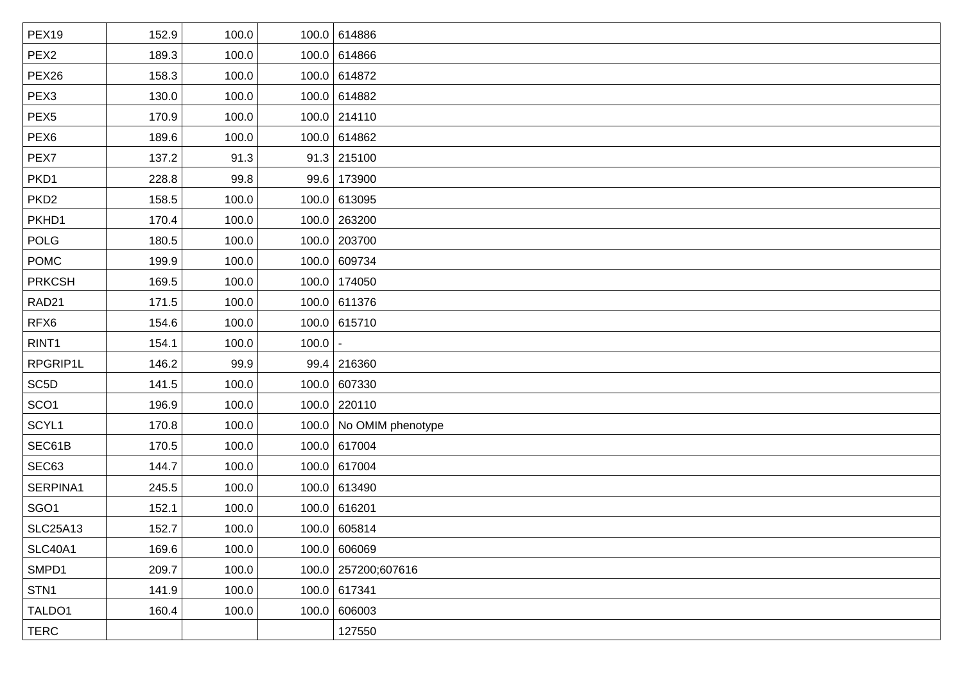| <b>PEX19</b>      | 152.9 | 100.0 |       | 100.0 614886            |
|-------------------|-------|-------|-------|-------------------------|
| PEX <sub>2</sub>  | 189.3 | 100.0 |       | 100.0 614866            |
| PEX26             | 158.3 | 100.0 |       | 100.0 614872            |
| PEX <sub>3</sub>  | 130.0 | 100.0 |       | 100.0 614882            |
| PEX <sub>5</sub>  | 170.9 | 100.0 |       | 100.0 214110            |
| PEX <sub>6</sub>  | 189.6 | 100.0 |       | 100.0 614862            |
| PEX7              | 137.2 | 91.3  |       | $91.3$ 215100           |
| PKD1              | 228.8 | 99.8  |       | 99.6 173900             |
| PKD <sub>2</sub>  | 158.5 | 100.0 |       | 100.0 613095            |
| PKHD1             | 170.4 | 100.0 |       | 100.0 263200            |
| <b>POLG</b>       | 180.5 | 100.0 |       | 100.0 203700            |
| <b>POMC</b>       | 199.9 | 100.0 |       | 100.0 609734            |
| <b>PRKCSH</b>     | 169.5 | 100.0 |       | 100.0 174050            |
| RAD <sub>21</sub> | 171.5 | 100.0 |       | 100.0 611376            |
| RFX6              | 154.6 | 100.0 |       | 100.0 615710            |
| RINT <sub>1</sub> | 154.1 | 100.0 | 100.0 |                         |
| RPGRIP1L          | 146.2 | 99.9  |       | $99.4$ 216360           |
| SC <sub>5</sub> D | 141.5 | 100.0 |       | 100.0 607330            |
| SCO <sub>1</sub>  | 196.9 | 100.0 |       | $100.0$ 220110          |
| SCYL1             | 170.8 | 100.0 |       | 100.0 No OMIM phenotype |
| SEC61B            | 170.5 | 100.0 |       | 100.0 617004            |
| SEC63             | 144.7 | 100.0 |       | 100.0 617004            |
| SERPINA1          | 245.5 | 100.0 |       | 100.0 613490            |
| SGO <sub>1</sub>  | 152.1 | 100.0 |       | 100.0 616201            |
| <b>SLC25A13</b>   | 152.7 | 100.0 |       | 100.0 605814            |
| <b>SLC40A1</b>    | 169.6 | 100.0 |       | 100.0 606069            |
| SMPD1             | 209.7 | 100.0 |       | 100.0 257200;607616     |
| STN <sub>1</sub>  | 141.9 | 100.0 |       | 100.0 617341            |
| TALDO1            | 160.4 | 100.0 |       | 100.0 606003            |
| <b>TERC</b>       |       |       |       | 127550                  |